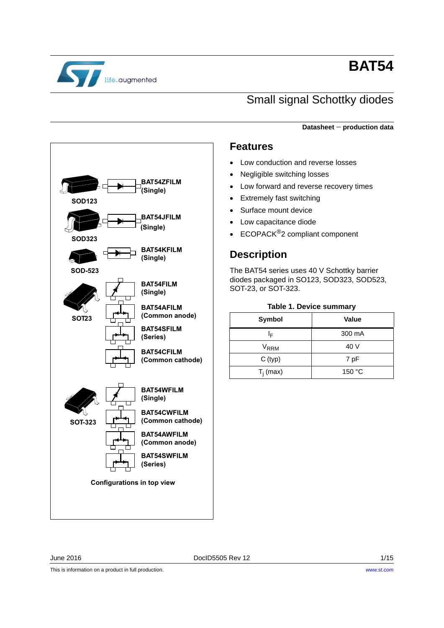

# **BAT54**

# Small signal Schottky diodes

**Datasheet production data**

### **Features**

- Low conduction and reverse losses
- Negligible switching losses
- Low forward and reverse recovery times
- Extremely fast switching
- Surface mount device
- Low capacitance diode
- ECOPACK<sup>®</sup>2 compliant component

## **Description**

The BAT54 series uses 40 V Schottky barrier diodes packaged in SO123, SOD323, SOD523, SOT-23, or SOT-323.

#### **Table 1. Device summary**

| Symbol           | Value  |
|------------------|--------|
| ΙF               | 300 mA |
| V <sub>RRM</sub> | 40 V   |
| C (typ)          | 7 pF   |
| $T_i$ (max)      | 150 °C |

**62' 62' 62' 60T23 BAT54JFILM** .<br>(Single) **BAT54ZFILM** (Single) **BAT54KFILM** (Single) **BAT54FILM** (Single) **BAT54SFILM** (Series) **BAT54CFILM** (Common cathode) **BAT54WFILM** (Single) **BAT54CWFILM** (Common cathode) **BAT54AWFILM** (Common anode) **BAT54SWFILM** (Series) **BAT54AFILM** (Common anode) **60T-323** Configurations in top view

June 2016 DocID5505 Rev 12 1/15

This is information on a product in full production.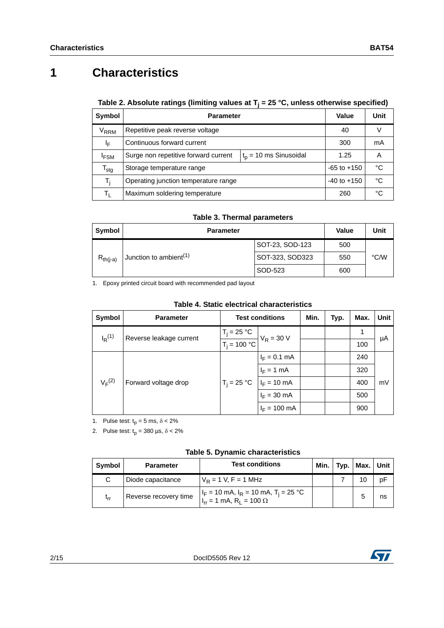# **1 Characteristics**

### **Table 2. Absolute ratings (limiting values at Tj = 25 °C, unless otherwise specified)**

| Symbol                      | <b>Parameter</b>                                                 | Value           | Unit |
|-----------------------------|------------------------------------------------------------------|-----------------|------|
| <b>V<sub>RRM</sub></b>      | Repetitive peak reverse voltage                                  | 40              |      |
| ΙF                          | Continuous forward current                                       | 300             | mA   |
| <sup>I</sup> FSM            | Surge non repetitive forward current<br>$t_p = 10$ ms Sinusoidal | 1.25            | A    |
| $\mathsf{T}_{\mathsf{stg}}$ | Storage temperature range                                        | $-65$ to $+150$ | °C   |
| T,                          | Operating junction temperature range                             | $-40$ to $+150$ | °C   |
| Τı                          | Maximum soldering temperature                                    | 260             | °C   |

#### **Table 3. Thermal parameters**

| Symbol        | <b>Parameter</b>                   |                 |     |      |  |
|---------------|------------------------------------|-----------------|-----|------|--|
|               |                                    | SOT-23, SOD-123 | 500 |      |  |
| $R_{th(i-a)}$ | Junction to ambient <sup>(1)</sup> | SOT-323, SOD323 | 550 | °C∕W |  |
|               |                                    | SOD-523         | 600 |      |  |

1. Epoxy printed circuit board with recommended pad layout

| Table 4. Static electrical characteristics |
|--------------------------------------------|
|--------------------------------------------|

| Symbol               | <b>Parameter</b>        | <b>Test conditions</b> |                        | Min. | Typ. | Max. | Unit |
|----------------------|-------------------------|------------------------|------------------------|------|------|------|------|
| $I_R$ <sup>(1)</sup> | Reverse leakage current | $T_i = 25 °C$          | $V_R = 30 V$           |      |      |      | μA   |
|                      |                         | $T_i = 100 °C$         |                        |      |      | 100  |      |
|                      | Forward voltage drop    | $T_i = 25 °C$          | $I_F = 0.1$ mA         |      |      | 240  |      |
|                      |                         |                        | $I_F = 1$ mA           |      |      | 320  |      |
| $V_F^{(2)}$          |                         |                        | $I_F = 10$ mA          |      |      | 400  | mV   |
|                      |                         |                        | $I_F = 30$ mA          |      |      | 500  |      |
|                      |                         |                        | $I_F = 100 \text{ mA}$ |      |      | 900  |      |

1. Pulse test:  $t_p = 5$  ms,  $\delta < 2\%$ 

2. Pulse test:  $t_p = 380 \text{ }\mu\text{s}, \delta < 2\%$ 

| Symbol   | <b>Test conditions</b><br><b>Parameter</b> |                                                                                               | Min. | Typ. $ $ Max. | <b>Unit</b> |
|----------|--------------------------------------------|-----------------------------------------------------------------------------------------------|------|---------------|-------------|
|          | Diode capacitance                          | $V_R = 1 V, F = 1 MHz$                                                                        |      |               | рF          |
| $t_{rr}$ | Reverse recovery time                      | $I_F$ = 10 mA, $I_R$ = 10 mA, $T_i$ = 25 °C<br>$I_{rr} = 1$ mA, R <sub>1</sub> = 100 $\Omega$ |      |               | ns          |

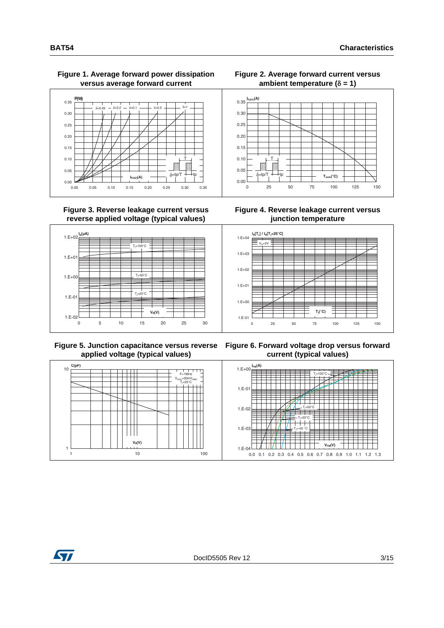#### **Figure 1. Average forward power dissipation versus average forward current**



#### **Figure 3. Reverse leakage current versus reverse applied voltage (typical values)**



 **Figure 5. Junction capacitance versus reverse applied voltage (typical values)**

F=1MHz V<sub>OSC</sub>=30mV<sub>RMS</sub> Tj =25°C

1 10 100

**V<sub>e</sub>(V)** 

 $\mathbb{H}$ 

#### **Figure 2. Average forward current versus**  ambient temperature  $(\delta = 1)$



**Figure 4. Reverse leakage current versus junction temperature**



**Figure 6. Forward voltage drop versus forward current (typical values)**





1

10

**C(pF)**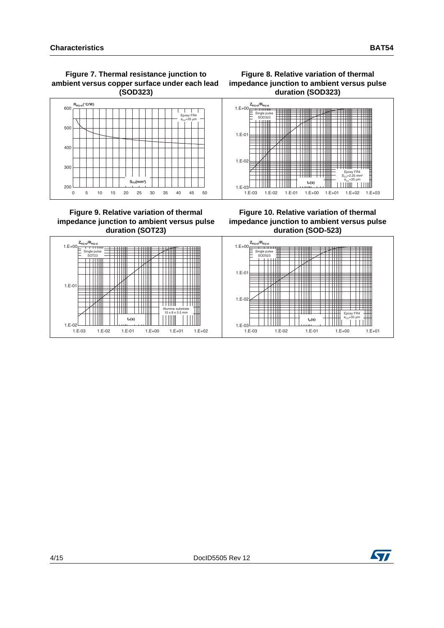



#### **Figure 9. Relative variation of thermal impedance junction to ambient versus pulse duration (SOT23)**





**Figure 10. Relative variation of thermal impedance junction to ambient versus pulse duration (SOD-523)**



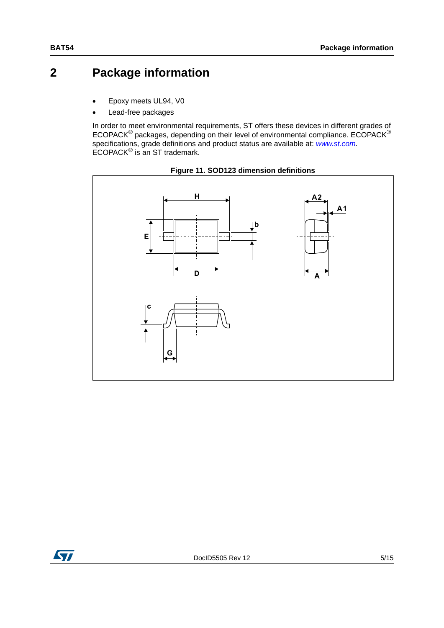# **2 Package information**

- Epoxy meets UL94, V0
- Lead-free packages

In order to meet environmental requirements, ST offers these devices in different grades of ECOPACK® packages, depending on their level of environmental compliance. ECOPACK® specifications, grade definitions and product status are available at: *[www.st.com](http://www.st.com).* ECOPACK® is an ST trademark.





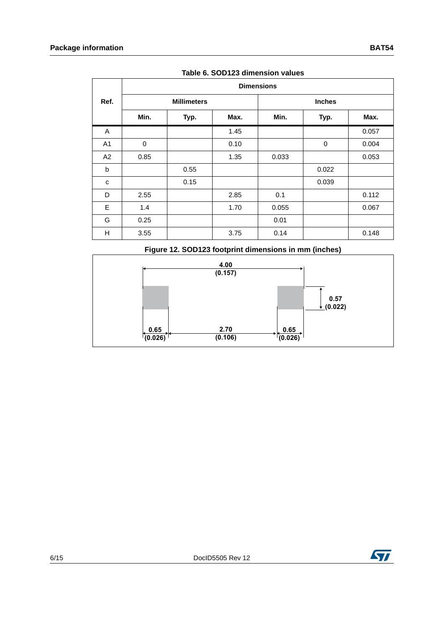|                | <b>Dimensions</b>  |      |      |               |       |       |  |
|----------------|--------------------|------|------|---------------|-------|-------|--|
| Ref.           | <b>Millimeters</b> |      |      | <b>Inches</b> |       |       |  |
|                | Min.               | Typ. | Max. | Min.          | Typ.  | Max.  |  |
| A              |                    |      | 1.45 |               |       | 0.057 |  |
| A <sub>1</sub> | 0                  |      | 0.10 |               | 0     | 0.004 |  |
| A2             | 0.85               |      | 1.35 | 0.033         |       | 0.053 |  |
| b              |                    | 0.55 |      |               | 0.022 |       |  |
| C              |                    | 0.15 |      |               | 0.039 |       |  |
| D              | 2.55               |      | 2.85 | 0.1           |       | 0.112 |  |
| E              | 1.4                |      | 1.70 | 0.055         |       | 0.067 |  |
| G              | 0.25               |      |      | 0.01          |       |       |  |
| H              | 3.55               |      | 3.75 | 0.14          |       | 0.148 |  |

**Table 6. SOD123 dimension values**

**Figure 12. SOD123 footprint dimensions in mm (inches)**



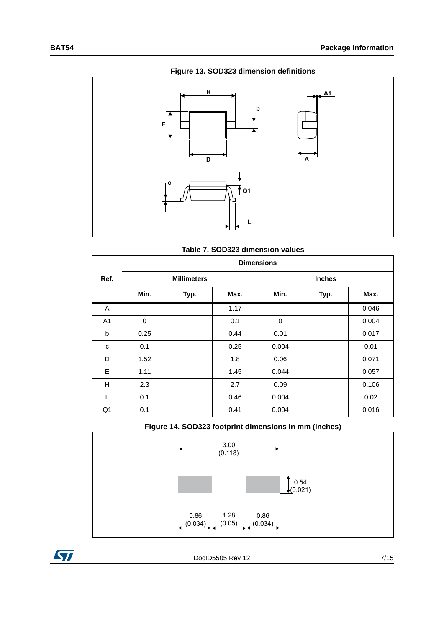

**Figure 13. SOD323 dimension definitions**

| Table 7. SOD323 dimension values |
|----------------------------------|
| <b>Dimensions</b>                |

|                | <b>Dimensions</b>  |      |      |       |               |       |  |
|----------------|--------------------|------|------|-------|---------------|-------|--|
| Ref.           | <b>Millimeters</b> |      |      |       | <b>Inches</b> |       |  |
|                | Min.               | Typ. | Max. | Min.  | Typ.          | Max.  |  |
| A              |                    |      | 1.17 |       |               | 0.046 |  |
| A <sub>1</sub> | 0                  |      | 0.1  | 0     |               | 0.004 |  |
| b              | 0.25               |      | 0.44 | 0.01  |               | 0.017 |  |
| c              | 0.1                |      | 0.25 | 0.004 |               | 0.01  |  |
| D              | 1.52               |      | 1.8  | 0.06  |               | 0.071 |  |
| E              | 1.11               |      | 1.45 | 0.044 |               | 0.057 |  |
| Н              | 2.3                |      | 2.7  | 0.09  |               | 0.106 |  |
| L              | 0.1                |      | 0.46 | 0.004 |               | 0.02  |  |
| Q <sub>1</sub> | 0.1                |      | 0.41 | 0.004 |               | 0.016 |  |





٦

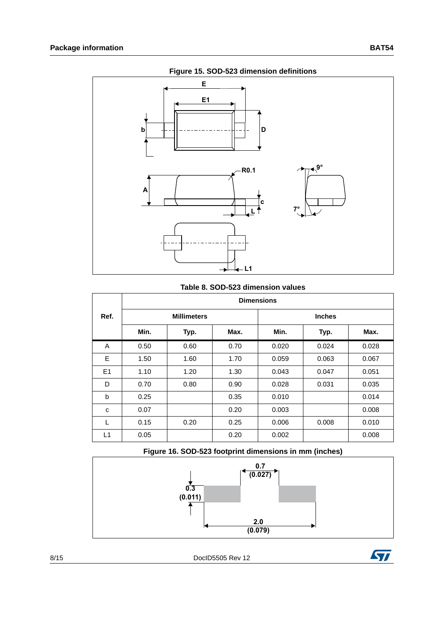

### **Table 8. SOD-523 dimension values**

|      |                    |      |      | <b>Dimensions</b> |               |       |  |
|------|--------------------|------|------|-------------------|---------------|-------|--|
| Ref. | <b>Millimeters</b> |      |      |                   | <b>Inches</b> |       |  |
|      | Min.               | Typ. | Max. | Min.              | Typ.          | Max.  |  |
| A    | 0.50               | 0.60 | 0.70 | 0.020             | 0.024         | 0.028 |  |
| E    | 1.50               | 1.60 | 1.70 | 0.059             | 0.063         | 0.067 |  |
| E1   | 1.10               | 1.20 | 1.30 | 0.043             | 0.047         | 0.051 |  |
| D    | 0.70               | 0.80 | 0.90 | 0.028             | 0.031         | 0.035 |  |
| b    | 0.25               |      | 0.35 | 0.010             |               | 0.014 |  |
| C    | 0.07               |      | 0.20 | 0.003             |               | 0.008 |  |
| L    | 0.15               | 0.20 | 0.25 | 0.006             | 0.008         | 0.010 |  |
| L1   | 0.05               |      | 0.20 | 0.002             |               | 0.008 |  |





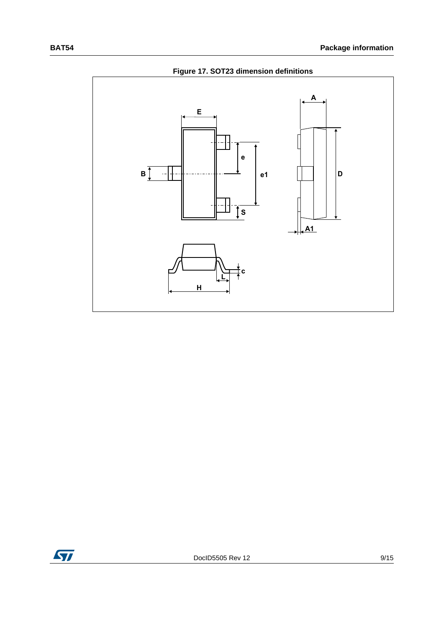

**Figure 17. SOT23 dimension definitions**

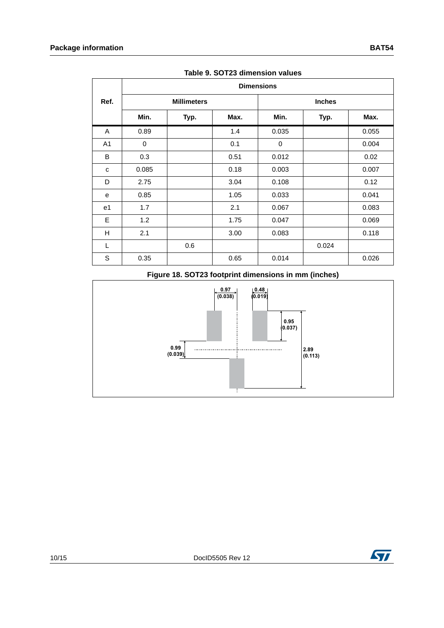|                | <b>Dimensions</b>  |      |      |       |               |       |  |
|----------------|--------------------|------|------|-------|---------------|-------|--|
| Ref.           | <b>Millimeters</b> |      |      |       | <b>Inches</b> |       |  |
|                | Min.               | Typ. | Max. | Min.  | Typ.          | Max.  |  |
| A              | 0.89               |      | 1.4  | 0.035 |               | 0.055 |  |
| A <sub>1</sub> | $\mathbf 0$        |      | 0.1  | 0     |               | 0.004 |  |
| B              | 0.3                |      | 0.51 | 0.012 |               | 0.02  |  |
| C              | 0.085              |      | 0.18 | 0.003 |               | 0.007 |  |
| D              | 2.75               |      | 3.04 | 0.108 |               | 0.12  |  |
| e              | 0.85               |      | 1.05 | 0.033 |               | 0.041 |  |
| e1             | 1.7                |      | 2.1  | 0.067 |               | 0.083 |  |
| E              | 1.2                |      | 1.75 | 0.047 |               | 0.069 |  |
| H              | 2.1                |      | 3.00 | 0.083 |               | 0.118 |  |
| L              |                    | 0.6  |      |       | 0.024         |       |  |
| S              | 0.35               |      | 0.65 | 0.014 |               | 0.026 |  |

**Table 9. SOT23 dimension values**

### **Figure 18. SOT23 footprint dimensions in mm (inches)**



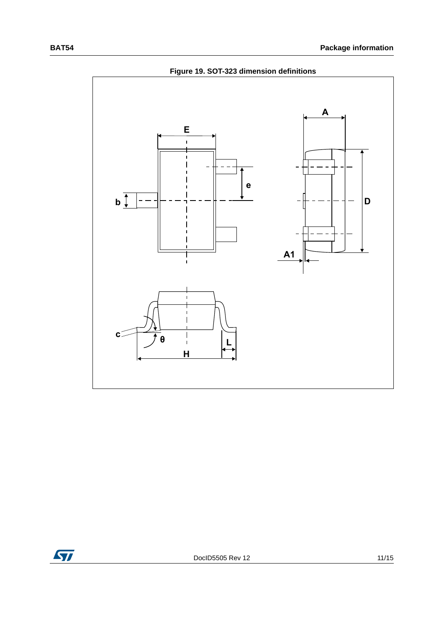

**Figure 19. SOT-323 dimension definitions**

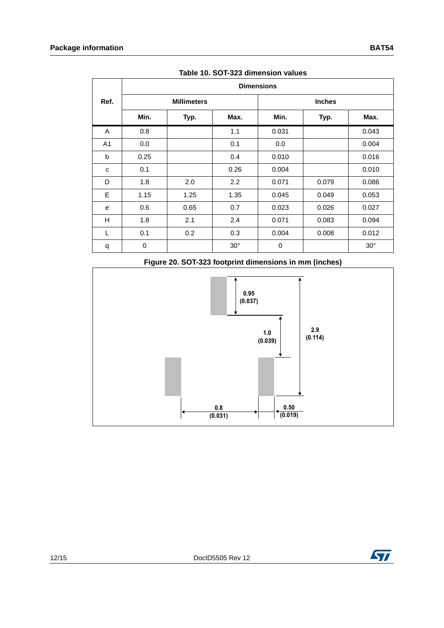|      | <b>Dimensions</b> |                    |            |               |       |            |  |  |  |
|------|-------------------|--------------------|------------|---------------|-------|------------|--|--|--|
| Ref. |                   | <b>Millimeters</b> |            | <b>Inches</b> |       |            |  |  |  |
|      | Min.              | Typ.               | Max.       | Min.          | Typ.  | Max.       |  |  |  |
| Α    | 0.8               |                    | 1.1        | 0.031         |       | 0.043      |  |  |  |
| A1   | 0.0               |                    | 0.1        | 0.0           |       | 0.004      |  |  |  |
| b    | 0.25              |                    | 0.4        | 0.010         |       | 0.016      |  |  |  |
| C    | 0.1               |                    | 0.26       | 0.004         |       | 0.010      |  |  |  |
| D    | 1.8               | 2.0                | 2.2        | 0.071         | 0.079 | 0.086      |  |  |  |
| E    | 1.15              | 1.25               | 1.35       | 0.045         | 0.049 | 0.053      |  |  |  |
| e    | 0.6               | 0.65               | 0.7        | 0.023         | 0.026 | 0.027      |  |  |  |
| Н    | 1.8               | 2.1                | 2.4        | 0.071         | 0.083 | 0.094      |  |  |  |
| L    | 0.1               | 0.2                | 0.3        | 0.004         | 0.008 | 0.012      |  |  |  |
| q    | 0                 |                    | $30^\circ$ | 0             |       | $30^\circ$ |  |  |  |

**Table 10. SOT-323 dimension values**

### **Figure 20. SOT-323 footprint dimensions in mm (inches)**



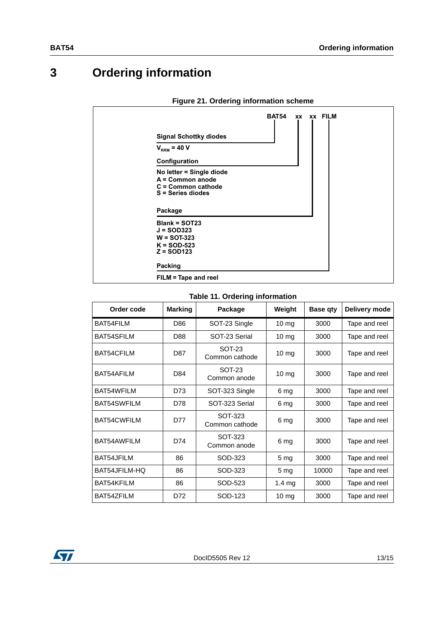# **3 Ordering information**

| <b>Signal Schottky diodes</b>                                                           | <b>BAT54</b> |  | xx xx FILM |  |
|-----------------------------------------------------------------------------------------|--------------|--|------------|--|
| $V_{RRM}$ = 40 V                                                                        |              |  |            |  |
| Configuration                                                                           |              |  |            |  |
| No letter = Single diode<br>A = Common anode<br>C = Common cathode<br>S = Series diodes |              |  |            |  |
| Package                                                                                 |              |  |            |  |
| <b>Blank = SOT23</b><br>$J = SOD323$<br>$W =$ SOT-323<br>$K = SOD-523$<br>$Z =$ SOD123  |              |  |            |  |
| Packing                                                                                 |              |  |            |  |
| FILM = Tape and reel                                                                    |              |  |            |  |

#### **Figure 21. Ordering information scheme**

### **Table 11. Ordering information**

<span id="page-12-0"></span>

| Order code         | <b>Marking</b> | Package                   | Weight           | <b>Base gty</b> | Delivery mode |
|--------------------|----------------|---------------------------|------------------|-----------------|---------------|
| <b>BAT54FILM</b>   | D86            | SOT-23 Single             | 10 mg            | 3000            | Tape and reel |
| BAT54SFILM         | D88            | SOT-23 Serial             | 10 <sub>mg</sub> | 3000            | Tape and reel |
| BAT54CFILM         | D87            | SOT-23<br>Common cathode  | $10 \, mg$       | 3000            | Tape and reel |
| BAT54AFILM         | D84            | SOT-23<br>Common anode    | $10 \, mg$       | 3000            | Tape and reel |
| BAT54WFILM         | D73            | SOT-323 Single            | 6 mg             | 3000            | Tape and reel |
| <b>BAT54SWFILM</b> | D78            | SOT-323 Serial            | 6 mg             | 3000            | Tape and reel |
| <b>BAT54CWFILM</b> | D77            | SOT-323<br>Common cathode | 6 mg             | 3000            | Tape and reel |
| BAT54AWFILM        | D74            | SOT-323<br>Common anode   | 6 mg             | 3000            | Tape and reel |
| BAT54.JFILM        | 86             | SOD-323                   | 5 <sub>mg</sub>  | 3000            | Tape and reel |
| BAT54JFILM-HQ      | 86             | SOD-323                   | 5 <sub>mg</sub>  | 10000           | Tape and reel |
| BAT54KFILM         | 86             | SOD-523                   | $1.4 \text{ mg}$ | 3000            | Tape and reel |
| BAT54ZFILM         | D72            | SOD-123                   | $10 \text{ mg}$  | 3000            | Tape and reel |

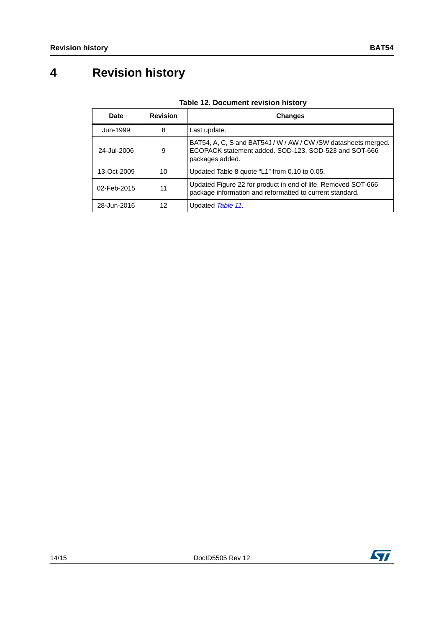# **4 Revision history**

| Date        | <b>Revision</b> | <b>Changes</b>                                                                                                                              |
|-------------|-----------------|---------------------------------------------------------------------------------------------------------------------------------------------|
| Jun-1999    | 8               | Last update.                                                                                                                                |
| 24-Jul-2006 | 9               | BAT54, A, C, S and BAT54J / W / AW / CW / SW datasheets merged.<br>ECOPACK statement added. SOD-123, SOD-523 and SOT-666<br>packages added. |
| 13-Oct-2009 | 10              | Updated Table 8 quote "L1" from 0.10 to 0.05.                                                                                               |
| 02-Feb-2015 | 11              | Updated Figure 22 for product in end of life. Removed SOT-666<br>package information and reformatted to current standard.                   |
| 28-Jun-2016 | 12              | Updated Table 11.                                                                                                                           |

### **Table 12. Document revision history**